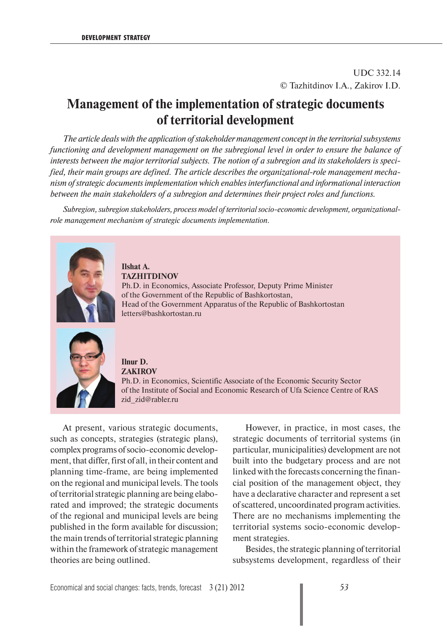UDC 332.14 © Tazhitdinov I.A., Zakirov I.D.

## **Management of the implementation of strategic documents of territorial development**

*The article deals with the application of stakeholder management concept in the territorial subsystems functioning and development management on the subregional level in order to ensure the balance of interests between the major territorial subjects. The notion of a subregion and its stakeholders is specified, their main groups are defined. The article describes the organizational-role management mechanism of strategic documents implementation which enables interfunctional and informational interaction between the main stakeholders of a subregion and determines their project roles and functions.*

*Subregion, subregion stakeholders, process model of territorial socio-economic development, organizationalrole management mechanism of strategic documents implementation.*



**Ilshat A. TAZHITDINOV**

Ph.D. in Economics, Associate Professor, Deputy Prime Minister of the Government of the Republic of Bashkortostan, Head of the Government Apparatus of the Republic of Bashkortostan letters@bashkortostan.ru



**Ilnur D. ZAKIROV** Ph.D. in Economics, Scientific Associate of the Economic Security Sector of the Institute of Social and Economic Research of Ufa Science Centre of RAS zid\_zid@rabler.ru

At present, various strategic documents, such as concepts, strategies (strategic plans), complex programs of socio-economic development, that differ, first of all, in their content and planning time-frame, are being implemented on the regional and municipal levels. The tools of territorial strategic planning are being elaborated and improved; the strategic documents of the regional and municipal levels are being published in the form available for discussion; the main trends of territorial strategic planning within the framework of strategic management theories are being outlined.

However, in practice, in most cases, the strategic documents of territorial systems (in particular, municipalities) development are not built into the budgetary process and are not linked with the forecasts concerning the financial position of the management object, they have a declarative character and represent a set of scattered, uncoordinated program activities. There are no mechanisms implementing the territorial systems socio-economic development strategies.

Besides, the strategic planning of territorial subsystems development, regardless of their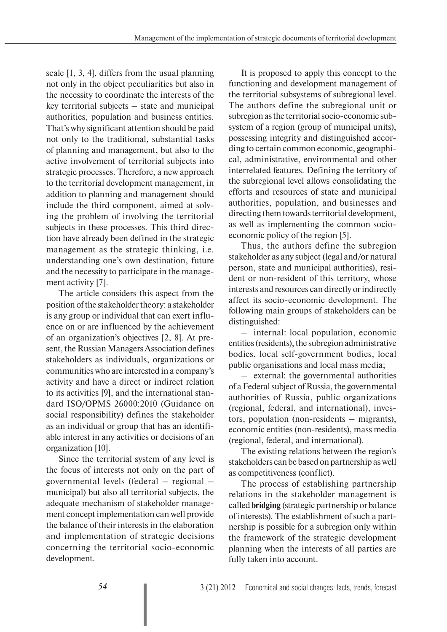scale [1, 3, 4], differs from the usual planning not only in the object peculiarities but also in the necessity to coordinate the interests of the key territorial subjects – state and municipal authorities, population and business entities. That's why significant attention should be paid not only to the traditional, substantial tasks of planning and management, but also to the active involvement of territorial subjects into strategic processes. Therefore, a new approach to the territorial development management, in addition to planning and management should include the third component, aimed at solving the problem of involving the territorial subjects in these processes. This third direction have already been defined in the strategic management as the strategic thinking, i.e. understanding one's own destination, future and the necessity to participate in the management activity [7].

The article considers this aspect from the position of the stakeholder theory: a stakeholder is any group or individual that can exert influence on or are influenced by the achievement of an organization's objectives [2, 8]. At present, the Russian Managers Association defines stakeholders as individuals, organizations or communities who are interested in a company's activity and have a direct or indirect relation to its activities [9], and the international standard ISO/OPMS 26000:2010 (Guidance on social responsibility) defines the stakeholder as an individual or group that has an identifiable interest in any activities or decisions of an organization [10].

Since the territorial system of any level is the focus of interests not only on the part of governmental levels (federal – regional – municipal) but also all territorial subjects, the adequate mechanism of stakeholder management concept implementation can well provide the balance of their interests in the elaboration and implementation of strategic decisions concerning the territorial socio-economic development.

It is proposed to apply this concept to the functioning and development management of the territorial subsystems of subregional level. The authors define the subregional unit or subregion as the territorial socio-economic subsystem of a region (group of municipal units), possessing integrity and distinguished according to certain common economic, geographical, administrative, environmental and other interrelated features. Defining the territory of the subregional level allows consolidating the efforts and resources of state and municipal authorities, population, and businesses and directing them towards territorial development, as well as implementing the common socioeconomic policy of the region [5].

Thus, the authors define the subregion stakeholder as any subject (legal and/or natural person, state and municipal authorities), resident or non-resident of this territory, whose interests and resources can directly or indirectly affect its socio-economic development. The following main groups of stakeholders can be distinguished:

– internal: local population, economic entities (residents), the subregion administrative bodies, local self-government bodies, local public organisations and local mass media;

– external: the governmental authorities of a Federal subject of Russia, the governmental authorities of Russia, public organizations (regional, federal, and international), investors, population (non-residents – migrants), economic entities (non-residents), mass media (regional, federal, and international).

The existing relations between the region's stakeholders can be based on partnership as well as competitiveness (conflict).

The process of establishing partnership relations in the stakeholder management is called **bridging** (strategic partnership or balance of interests). The establishment of such a partnership is possible for a subregion only within the framework of the strategic development planning when the interests of all parties are fully taken into account.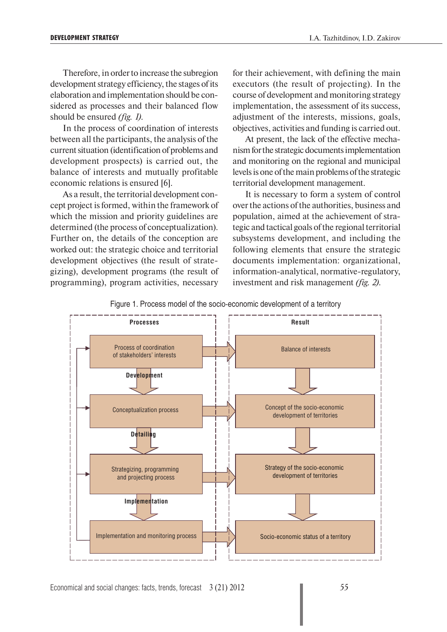Therefore, in order to increase the subregion development strategy efficiency, the stages of its elaboration and implementation should be considered as processes and their balanced flow should be ensured *(fig. 1)*.

In the process of coordination of interests between all the participants, the analysis of the current situation (identification of problems and development prospects) is carried out, the balance of interests and mutually profitable economic relations is ensured [6].

As a result, the territorial development concept project is formed, within the framework of which the mission and priority guidelines are determined (the process of conceptualization). Further on, the details of the conception are worked out: the strategic choice and territorial development objectives (the result of strategizing), development programs (the result of programming), program activities, necessary

for their achievement, with defining the main executors (the result of projecting). In the course of development and monitoring strategy implementation, the assessment of its success, adjustment of the interests, missions, goals, objectives, activities and funding is carried out.

At present, the lack of the effective mechanism for the strategic documents implementation and monitoring on the regional and municipal levels is one of the main problems of the strategic territorial development management.

It is necessary to form a system of control over the actions of the authorities, business and population, aimed at the achievement of strategic and tactical goals of the regional territorial subsystems development, and including the following elements that ensure the strategic documents implementation: organizational, information-analytical, normative-regulatory, investment and risk management *(fig. 2)*.



Figure 1. Process model of the socio-economic development of a territory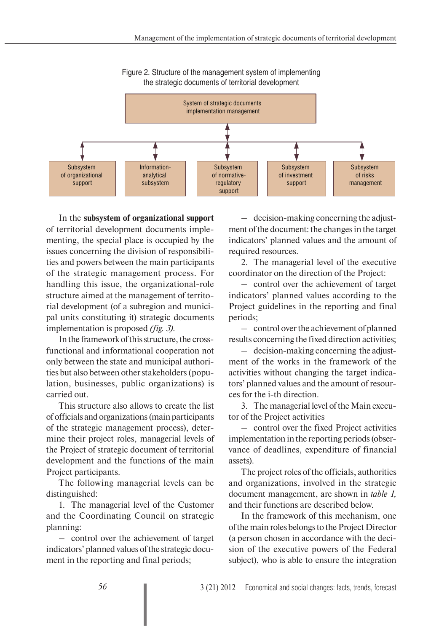

Figure 2. Structure of the management system of implementing the strategic documents of territorial development

In the **subsystem of organizational support** of territorial development documents implementing, the special place is occupied by the issues concerning the division of responsibilities and powers between the main participants of the strategic management process. For handling this issue, the organizational-role structure aimed at the management of territorial development (of a subregion and municipal units constituting it) strategic documents implementation is proposed *(fig. 3)*.

In the framework of this structure, the crossfunctional and informational cooperation not only between the state and municipal authorities but also between other stakeholders (population, businesses, public organizations) is carried out.

This structure also allows to create the list of officials and organizations (main participants of the strategic management process), determine their project roles, managerial levels of the Project of strategic document of territorial development and the functions of the main Project participants.

The following managerial levels can be distinguished:

1. The managerial level of the Customer and the Coordinating Council on strategic planning:

– control over the achievement of target indicators' planned values of the strategic document in the reporting and final periods;

– decision-making concerning the adjustment of the document: the changes in the target indicators' planned values and the amount of required resources.

2. The managerial level of the executive coordinator on the direction of the Project:

– control over the achievement of target indicators' planned values according to the Project guidelines in the reporting and final periods;

– control over the achievement of planned results concerning the fixed direction activities;

– decision-making concerning the adjustment of the works in the framework of the activities without changing the target indicators' planned values and the amount of resources for the i-th direction.

3. The managerial level of the Main executor of the Project activities

– control over the fixed Project activities implementation in the reporting periods (observance of deadlines, expenditure of financial assets).

The project roles of the officials, authorities and organizations, involved in the strategic document management, are shown in *table 1,* and their functions are described below.

In the framework of this mechanism, one of the main roles belongs to the Project Director (a person chosen in accordance with the decision of the executive powers of the Federal subject), who is able to ensure the integration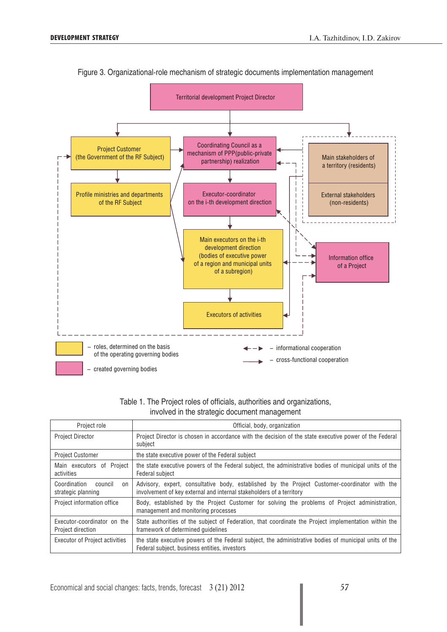

## Figure 3. Organizational-role mechanism of strategic documents implementation management

| Table 1. The Project roles of officials, authorities and organizations, |  |
|-------------------------------------------------------------------------|--|
| involved in the strategic document management                           |  |

| Project role                                             | Official, body, organization                                                                                                                                          |  |  |
|----------------------------------------------------------|-----------------------------------------------------------------------------------------------------------------------------------------------------------------------|--|--|
| <b>Project Director</b>                                  | Project Director is chosen in accordance with the decision of the state executive power of the Federal<br>subject                                                     |  |  |
| <b>Project Customer</b>                                  | the state executive power of the Federal subject                                                                                                                      |  |  |
| Proiect<br>Main executors of<br>activities               | the state executive powers of the Federal subject, the administrative bodies of municipal units of the<br>Federal subject                                             |  |  |
| Coordination<br>council<br>$_{0n}$<br>strategic planning | Advisory, expert, consultative body, established by the Project Customer-coordinator with the<br>involvement of key external and internal stakeholders of a territory |  |  |
| Project information office                               | Body, established by the Project Customer for solving the problems of Project administration,<br>management and monitoring processes                                  |  |  |
| Executor-coordinator on the<br>Project direction         | State authorities of the subject of Federation, that coordinate the Project implementation within the<br>framework of determined quidelines                           |  |  |
| <b>Executor of Project activities</b>                    | the state executive powers of the Federal subject, the administrative bodies of municipal units of the<br>Federal subject, business entities, investors               |  |  |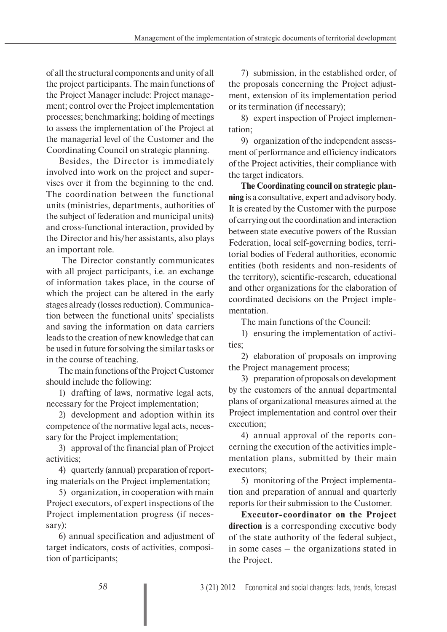of all the structural components and unity of all the project participants. The main functions of the Project Manager include: Project management; control over the Project implementation processes; benchmarking; holding of meetings to assess the implementation of the Project at the managerial level of the Customer and the Coordinating Council on strategic planning.

Besides, the Director is immediately involved into work on the project and supervises over it from the beginning to the end. The coordination between the functional units (ministries, departments, authorities of the subject of federation and municipal units) and cross-functional interaction, provided by the Director and his/her assistants, also plays an important role.

 The Director constantly communicates with all project participants, i.e. an exchange of information takes place, in the course of which the project can be altered in the early stages already (losses reduction). Communication between the functional units' specialists and saving the information on data carriers leads to the creation of new knowledge that can be used in future for solving the similar tasks or in the course of teaching.

The main functions of the Project Customer should include the following:

1) drafting of laws, normative legal acts, necessary for the Project implementation;

2) development and adoption within its competence of the normative legal acts, necessary for the Project implementation;

3) approval of the financial plan of Project activities;

4) quarterly (annual) preparation of reporting materials on the Project implementation;

5) organization, in cooperation with main Project executors, of expert inspections of the Project implementation progress (if necessary);

6) annual specification and adjustment of target indicators, costs of activities, composition of participants;

7) submission, in the established order, of the proposals concerning the Project adjustment, extension of its implementation period or its termination (if necessary);

8) expert inspection of Project implementation;

9) organization of the independent assessment of performance and efficiency indicators of the Project activities, their compliance with the target indicators.

**The Coordinating council on strategic planning** is a consultative, expert and advisory body. It is created by the Customer with the purpose of carrying out the coordination and interaction between state executive powers of the Russian Federation, local self-governing bodies, territorial bodies of Federal authorities, economic entities (both residents and non-residents of the territory), scientific-research, educational and other organizations for the elaboration of coordinated decisions on the Project implementation.

The main functions of the Council:

1) ensuring the implementation of activities;

2) elaboration of proposals on improving the Project management process;

3) preparation of proposals on development by the customers of the annual departmental plans of organizational measures aimed at the Project implementation and control over their execution;

4) annual approval of the reports concerning the execution of the activities implementation plans, submitted by their main executors;

5) monitoring of the Project implementation and preparation of annual and quarterly reports for their submission to the Customer.

**Executor-coordinator on the Project direction** is a corresponding executive body of the state authority of the federal subject, in some cases – the organizations stated in the Project.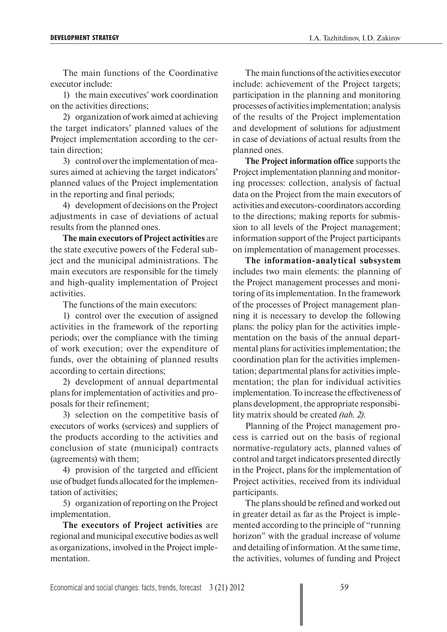The main functions of the Coordinative executor include:

1) the main executives' work coordination on the activities directions;

2) organization of work aimed at achieving the target indicators' planned values of the Project implementation according to the certain direction;

3) control over the implementation of measures aimed at achieving the target indicators' planned values of the Project implementation in the reporting and final periods;

4) development of decisions on the Project adjustments in case of deviations of actual results from the planned ones.

**The main executors of Project activities** are the state executive powers of the Federal subject and the municipal administrations. The main executors are responsible for the timely and high-quality implementation of Project activities.

The functions of the main executors:

1) control over the execution of assigned activities in the framework of the reporting periods; over the compliance with the timing of work execution; over the expenditure of funds, over the obtaining of planned results according to certain directions;

2) development of annual departmental plans for implementation of activities and proposals for their refinement;

3) selection on the competitive basis of executors of works (services) and suppliers of the products according to the activities and conclusion of state (municipal) contracts (agreements) with them;

4) provision of the targeted and efficient use of budget funds allocated for the implementation of activities;

5) organization of reporting on the Project implementation.

**The executors of Project activities** are regional and municipal executive bodies as well as organizations, involved in the Project implementation.

The main functions of the activities executor include: achievement of the Project targets; participation in the planning and monitoring processes of activities implementation; analysis of the results of the Project implementation and development of solutions for adjustment in case of deviations of actual results from the planned ones.

**The Project information office** supports the Project implementation planning and monitoring processes: collection, analysis of factual data on the Project from the main executors of activities and executors-coordinators according to the directions; making reports for submission to all levels of the Project management; information support of the Project participants on implementation of management processes.

**The information-analytical subsystem** includes two main elements: the planning of the Project management processes and monitoring of its implementation. In the framework of the processes of Project management planning it is necessary to develop the following plans: the policy plan for the activities implementation on the basis of the annual departmental plans for activities implementation; the coordination plan for the activities implementation; departmental plans for activities implementation; the plan for individual activities implementation. To increase the effectiveness of plans development, the appropriate responsibility matrix should be created *(tab. 2)*.

Planning of the Project management process is carried out on the basis of regional normative-regulatory acts, planned values of control and target indicators presented directly in the Project, plans for the implementation of Project activities, received from its individual participants.

The plans should be refined and worked out in greater detail as far as the Project is implemented according to the principle of "running horizon" with the gradual increase of volume and detailing of information. At the same time, the activities, volumes of funding and Project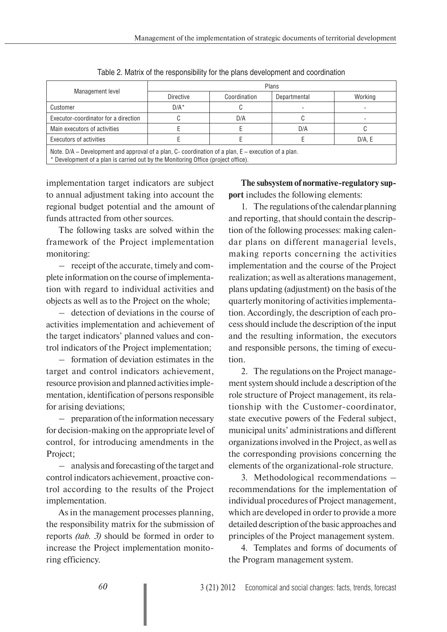| Management level                                                                                      | <b>Plans</b>     |              |              |         |  |  |
|-------------------------------------------------------------------------------------------------------|------------------|--------------|--------------|---------|--|--|
|                                                                                                       | <b>Directive</b> | Coordination | Departmental | Working |  |  |
| Customer                                                                                              | $D/A^*$          |              |              |         |  |  |
| Executor-coordinator for a direction                                                                  |                  | D/A          |              |         |  |  |
| Main executors of activities                                                                          |                  |              | D/A          |         |  |  |
| Executors of activities                                                                               |                  |              |              | D/A, E  |  |  |
| Note. D/A – Development and approval of a plan, C- coordination of a plan, $E$ – execution of a plan. |                  |              |              |         |  |  |

Table 2. Matrix of the responsibility for the plans development and coordination

\* Development of a plan is carried out by the Monitoring Office (project office).

implementation target indicators are subject to annual adjustment taking into account the regional budget potential and the amount of funds attracted from other sources.

The following tasks are solved within the framework of the Project implementation monitoring:

– receipt of the accurate, timely and complete information on the course of implementation with regard to individual activities and objects as well as to the Project on the whole;

– detection of deviations in the course of activities implementation and achievement of the target indicators' planned values and control indicators of the Project implementation;

– formation of deviation estimates in the target and control indicators achievement, resource provision and planned activities implementation, identification of persons responsible for arising deviations;

– preparation of the information necessary for decision-making on the appropriate level of control, for introducing amendments in the Project;

– analysis and forecasting of the target and control indicators achievement, proactive control according to the results of the Project implementation.

As in the management processes planning, the responsibility matrix for the submission of reports *(tab. 3)* should be formed in order to increase the Project implementation monitoring efficiency.

**The subsystem of normative-regulatory support** includes the following elements:

1. The regulations of the calendar planning and reporting, that should contain the description of the following processes: making calendar plans on different managerial levels, making reports concerning the activities implementation and the course of the Project realization; as well as alterations management, plans updating (adjustment) on the basis of the quarterly monitoring of activities implementation. Accordingly, the description of each process should include the description of the input and the resulting information, the executors and responsible persons, the timing of execution.

2. The regulations on the Project management system should include a description of the role structure of Project management, its relationship with the Customer-coordinator, state executive powers of the Federal subject, municipal units' administrations and different organizations involved in the Project, as well as the corresponding provisions concerning the elements of the organizational-role structure.

3. Methodological recommendations – recommendations for the implementation of individual procedures of Project management, which are developed in order to provide a more detailed description of the basic approaches and principles of the Project management system.

4. Templates and forms of documents of the Program management system.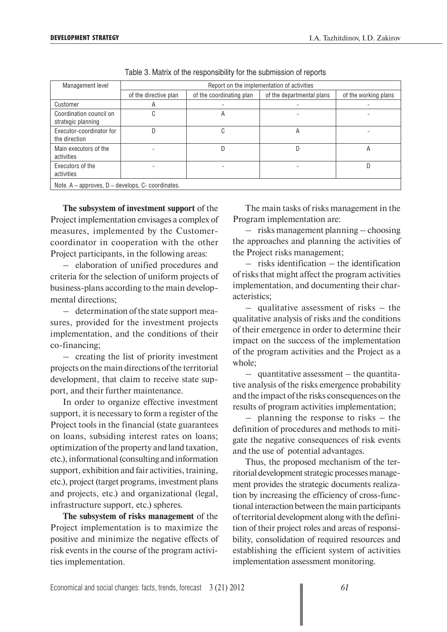| Management level                                         | Report on the implementation of activities |                          |                           |                      |  |  |
|----------------------------------------------------------|--------------------------------------------|--------------------------|---------------------------|----------------------|--|--|
|                                                          | of the directive plan                      | of the coordinating plan | of the departmental plans | of the working plans |  |  |
| Customer                                                 | A                                          |                          |                           |                      |  |  |
| Coordination council on<br>strategic planning            | ⌒<br>U                                     | A                        |                           |                      |  |  |
| Executor-coordinator for<br>the direction                | D                                          | $\mathbf{U}$             | A                         |                      |  |  |
| Main executors of the<br>activities                      |                                            |                          | D                         | Α                    |  |  |
| Executors of the<br>activities                           |                                            |                          |                           | D                    |  |  |
| Note. $A$ – approves, $D$ – develops, $C$ - coordinates. |                                            |                          |                           |                      |  |  |

Table 3. Matrix of the responsibility for the submission of reports

**The subsystem of investment support** of the Project implementation envisages a complex of measures, implemented by the Customercoordinator in cooperation with the other Project participants, in the following areas:

– elaboration of unified procedures and criteria for the selection of uniform projects of business-plans according to the main developmental directions;

– determination of the state support measures, provided for the investment projects implementation, and the conditions of their co-financing;

– creating the list of priority investment projects on the main directions of the territorial development, that claim to receive state support, and their further maintenance.

In order to organize effective investment support, it is necessary to form a register of the Project tools in the financial (state guarantees on loans, subsiding interest rates on loans; optimization of the property and land taxation, etc.), informational (consulting and information support, exhibition and fair activities, training, etc.), project (target programs, investment plans and projects, etc.) and organizational (legal, infrastructure support, etc.) spheres.

**The subsystem of risks management** of the Project implementation is to maximize the positive and minimize the negative effects of risk events in the course of the program activities implementation.

The main tasks of risks management in the Program implementation are:

– risks management planning – choosing the approaches and planning the activities of the Project risks management;

– risks identification – the identification of risks that might affect the program activities implementation, and documenting their characteristics;

– qualitative assessment of risks – the qualitative analysis of risks and the conditions of their emergence in order to determine their impact on the success of the implementation of the program activities and the Project as a whole;

– quantitative assessment – the quantitative analysis of the risks emergence probability and the impact of the risks consequences on the results of program activities implementation;

– planning the response to risks – the definition of procedures and methods to mitigate the negative consequences of risk events and the use of potential advantages.

Thus, the proposed mechanism of the territorial development strategic processes management provides the strategic documents realization by increasing the efficiency of cross-functional interaction between the main participants of territorial development along with the definition of their project roles and areas of responsibility, consolidation of required resources and establishing the efficient system of activities implementation assessment monitoring.